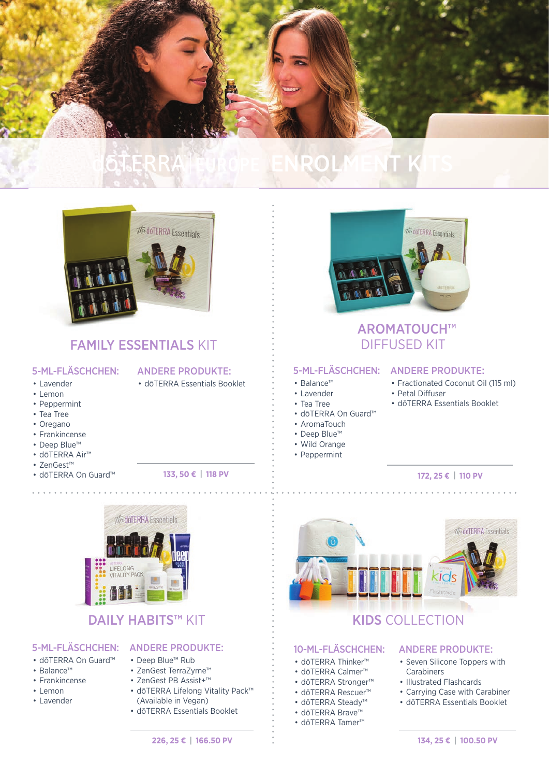

# ENROLMENT KITS



### FAMILY ESSENTIALS KIT

#### 5-ML-FLÄSCHCHEN:

### ANDERE PRODUKTE:

- dōTERRA Essentials Booklet
- Lavender • Lemon
- Peppermint
- Tea Tree
- Oregano
- Frankincense
- Deep Blue™
- dōTERRA Air™ • ZenGest™
- 

• dōTERRA On Guard™ **133, 50 € | 118 PV**



### DAILY HABITS™ KIT

- dōTERRA On Guard™
- Balance™
- Frankincense
- Lemon
- Lavender



- Deep Blue™ Rub
	- ZenGest TerraZyme™
	- ZenGest PB Assist+™
	- dōTERRA Lifelong Vitality Pack™ (Available in Vegan)
	- dōTERRA Essentials Booklet



### AROMATOUCH™ DIFFUSED KIT

• Petal Diffuser

#### 5-ML-FLÄSCHCHEN: ANDERE PRODUKTE:

- 
- Lavender
- Tea Tree
- dōTERRA On Guard™
- AromaTouch
- Deep Blue™
- Wild Orange
- Peppermint
- 

#### **172, 25 € | 110 PV**

• Fractionated Coconut Oil (115 ml)

• dōTERRA Essentials Booklet



## KIDS COLLECTION

#### 10-ML-FLÄSCHCHEN:

- dōTERRA Thinker™
- dōTERRA Calmer™
- dōTERRA Stronger™
- dōTERRA Rescuer™
- dōTERRA Steady™
- dōTERRA Brave™
- dōTERRA Tamer™

#### ANDERE PRODUKTE:

- Seven Silicone Toppers with **Carabiners**
- Illustrated Flashcards
- Carrying Case with Carabiner
- dōTERRA Essentials Booklet

**134, 25 € | 100.50 PV**

• Balance™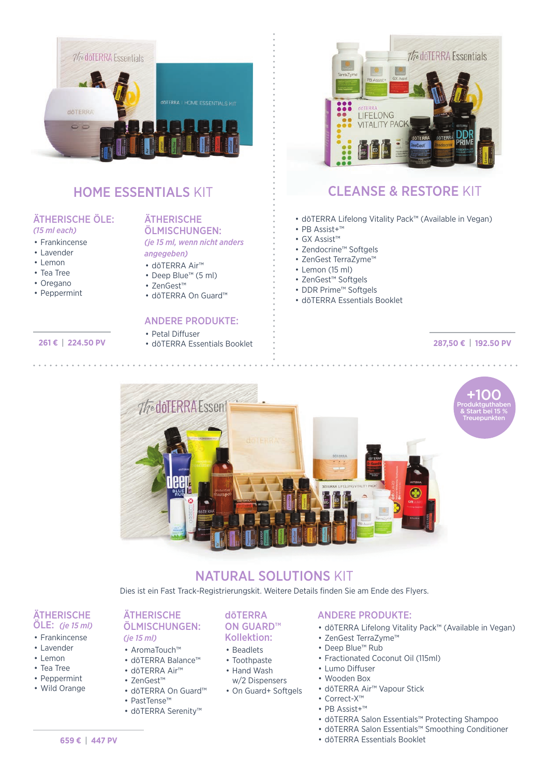

## HOME ESSENTIALS KIT

#### ÄTHERISCHE ÖLE: *(15 ml each)*

- Frankincense
- Lavender
- Lemon
- Tea Tree
- Oregano
- Peppermint

### **ÄTHERISCHE**

ÖLMISCHUNGEN: *(je 15 ml, wenn nicht anders angegeben)*

- dōTERRA Air™
- Deep Blue™ (5 ml)
- ZenGest™
	- dōTERRA On Guard™

#### ANDERE PRODUKTE:

#### • Petal Diffuser

**261 €** • dōTERRA Essentials Booklet **| 224.50 PV**



### CLEANSE & RESTORE KIT

- dōTERRA Lifelong Vitality Pack™ (Available in Vegan)
- PB Assist+™
- GX Assist™
- Zendocrine™ Softgels
- ZenGest TerraZyme™
- Lemon (15 ml)
- ZenGest™ Softgels
- DDR Prime™ Softgels
- dōTERRA Essentials Booklet

#### **287,50 € | 192.50 PV**



### NATURAL SOLUTIONS KIT

Dies ist ein Fast Track-Registrierungskit. Weitere Details finden Sie am Ende des Flyers.

dōTERRA ON GUARD™ Kollektion: • Beadlets • Toothpaste • Hand Wash w/2 Dispensers • On Guard+ Softgels

#### **ÄTHERISCHE** ÖLE: *(je 15 ml)*

- Frankincense
- Lavender
- Lemon
- Tea Tree
- Peppermint
- Wild Orange

#### **ÄTHERISCHE** ÖLMISCHUNGEN: *(je 15 ml)*

- AromaTouch™
- dōTERRA Balance™
- dōTERRA Air™
- ZenGest™
- dōTERRA On Guard™ • PastTense™
- dōTERRA Serenity™

#### ANDERE PRODUKTE:

- dōTERRA Lifelong Vitality Pack™ (Available in Vegan)
- ZenGest TerraZyme™
- Deep Blue™ Rub
- Fractionated Coconut Oil (115ml)
- Lumo Diffuser
- Wooden Box
- dōTERRA Air™ Vapour Stick
- Correct-X™
- PB Assist+™
- dōTERRA Salon Essentials™ Protecting Shampoo
- dōTERRA Salon Essentials™ Smoothing Conditioner
- dōTERRA Essentials Booklet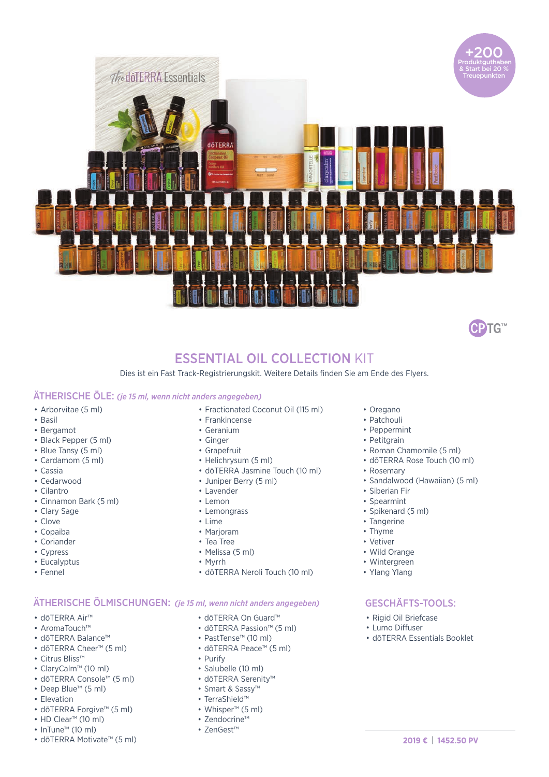



### ESSENTIAL OIL COLLECTION KIT

Dies ist ein Fast Track-Registrierungskit. Weitere Details finden Sie am Ende des Flyers.

#### ÄTHERISCHE ÖLE: *(je 15 ml, wenn nicht anders angegeben)*

- Arborvitae (5 ml)
- Basil
- Bergamot
- Black Pepper (5 ml)
- Blue Tansy (5 ml)
- Cardamom (5 ml)
- Cassia
- Cedarwood
- Cilantro
- Cinnamon Bark (5 ml)
- Clary Sage
- Clove
- Copaiba
- Coriander
- Cypress
- Eucalyptus
- Fennel
- Fractionated Coconut Oil (115 ml)
- Frankincense
- Geranium
- Ginger
- Grapefruit
- Helichrysum (5 ml)
- dōTERRA Jasmine Touch (10 ml)
- Juniper Berry (5 ml)
- Lavender
- Lemon
- Lemongrass
- Lime
- Marioram
- Tea Tree
- Melissa (5 ml)
- Myrrh
- dōTERRA Neroli Touch (10 ml)

#### ÄTHERISCHE ÖLMISCHUNGEN: *(je 15 ml, wenn nicht anders angegeben)*

- dōTERRA Air™
- AromaTouch™
- dōTERRA Balance™
- dōTERRA Cheer™ (5 ml)
- Citrus Bliss™
- ClaryCalm™ (10 ml)
- dōTERRA Console™ (5 ml)
- Deep Blue™ (5 ml)
- Elevation
- dōTERRA Forgive™ (5 ml)
- HD Clear™ (10 ml)
- InTune™ (10 ml)
- dōTERRA Motivate™ (5 ml)
- dōTERRA On Guard™
- dōTERRA Passion™ (5 ml)
- PastTense™ (10 ml)
- dōTERRA Peace™ (5 ml)
- Purify
- Salubelle (10 ml)
- dōTERRA Serenity™
- Smart & Sassy™
- TerraShield™
- Whisper™ (5 ml)
- Zendocrine™
- ZenGest™
- Oregano
- Patchouli
- Peppermint
- Petitgrain
- Roman Chamomile (5 ml)
- dōTERRA Rose Touch (10 ml)
- Rosemary
- Sandalwood (Hawaiian) (5 ml)
- Siberian Fir
- Spearmint
- Spikenard (5 ml)
- Tangerine
- Thyme
- Vetiver
- Wild Orange
- Wintergreen
- Ylang Ylang

### GESCHÄFTS-TOOLS:

- Rigid Oil Briefcase
- Lumo Diffuser
- dōTERRA Essentials Booklet